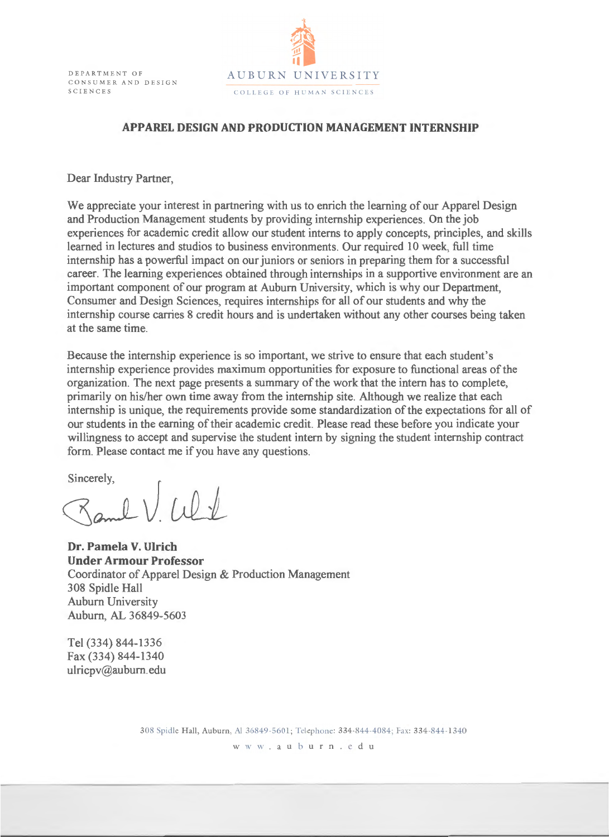

## **APPAREL DESIGN AND PRODUCTION MANAGEMENT INTERNSHIP**

Dear Industry Partner,

We appreciate your interest in partnering with us to enrich the learning of our Apparel Design and Production Management students by providing internship experiences. On the job experiences for academic credit allow our student interns to apply concepts, principles, and skills learned in lectures and studios to business environments. Our required 10 week, full time internship has a powerful impact on our juniors or seniors in preparing them for a successful career. The learning experiences obtained through internships in a supportive environment are an important component of our program at Auburn University, which is why our Department, Consumer and Design Sciences, requires internships for all of our students and why the internship course carries 8 credit hours and is undertaken without any other courses being taken at the same time.

Because the internship experience is so important, we strive to ensure that each student's internship experience provides maximum opportunities for exposure to functional areas of the organization. The next page presents a summary of the work that the intern has to complete, primarily on his/her own time away from the internship site. Although we realize that each internship is unique, the requirements provide some standardization of the expectations for all of our students in the earning of their academic credit. Please read these before you indicate your willingness to accept and supervise the student intern by signing the student internship contract form. Please contact me if you have any questions.

Sincerely,

 $0 \vee 10 \vee$ 

**Dr. Pamela V. Ulrich Under Armour Professor**  Coordinator of Apparel Design & Production Management 308 Spidle Hall Auburn University Auburn, AL 36849-5603

Tel (334) 844-1336 Fax (334) 844-1340 ulricpv@auburn. edu